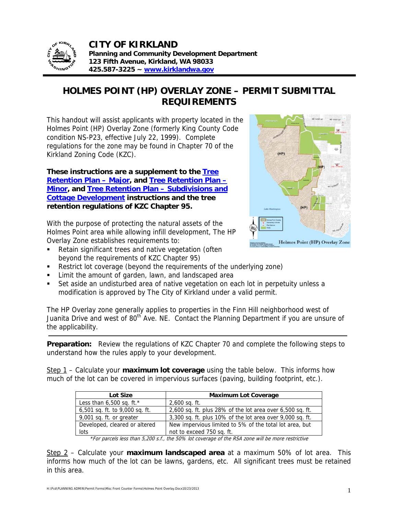

**CITY OF KIRKLAND Planning and Community Development Department 123 Fifth Avenue, Kirkland, WA 98033 425.587-3225 ~ www.kirklandwa.gov**

## **HOLMES POINT (HP) OVERLAY ZONE – PERMIT SUBMITTAL REQUIREMENTS**

This handout will assist applicants with property located in the Holmes Point (HP) Overlay Zone (formerly King County Code condition NS-P23, effective July 22, 1999). Complete regulations for the zone may be found in Chapter 70 of the Kirkland Zoning Code (KZC).

**These instructions are a supplement to the Tree Retention Plan – Major, and Tree Retention Plan – Minor, and Tree Retention Plan – Subdivisions and Cottage Development instructions and the tree retention regulations of KZC Chapter 95.** 

With the purpose of protecting the natural assets of the Holmes Point area while allowing infill development, The HP Overlay Zone establishes requirements to:

 Retain significant trees and native vegetation (often beyond the requirements of KZC Chapter 95)



- Restrict lot coverage (beyond the requirements of the underlying zone)
- Limit the amount of garden, lawn, and landscaped area
- Set aside an undisturbed area of native vegetation on each lot in perpetuity unless a modification is approved by The City of Kirkland under a valid permit.

The HP Overlay zone generally applies to properties in the Finn Hill neighborhood west of Juanita Drive and west of 80<sup>th</sup> Ave. NE. Contact the Planning Department if you are unsure of the applicability.

**Preparation:** Review the regulations of KZC Chapter 70 and complete the following steps to understand how the rules apply to your development.

Step 1 – Calculate your **maximum lot coverage** using the table below. This informs how much of the lot can be covered in impervious surfaces (paving, building footprint, etc.).

| Lot Size                       | <b>Maximum Lot Coverage</b>                               |
|--------------------------------|-----------------------------------------------------------|
| Less than $6,500$ sq. ft.*     | $2,600$ sq. ft.                                           |
| 6,501 sq. ft. to 9,000 sq. ft. | 2,600 sq. ft. plus 28% of the lot area over 6,500 sq. ft. |
| 9,001 sq. ft. or greater       | 3,300 sq. ft. plus 10% of the lot area over 9,000 sq. ft. |
| Developed, cleared or altered  | New impervious limited to 5% of the total lot area, but   |
| lots                           | not to exceed 750 sq. ft.                                 |

\*For parcels less than 5,200 s.f., the 50% lot coverage of the RSA zone will be more restrictive

Step 2 – Calculate your **maximum landscaped area** at a maximum 50% of lot area. This informs how much of the lot can be lawns, gardens, etc. All significant trees must be retained in this area.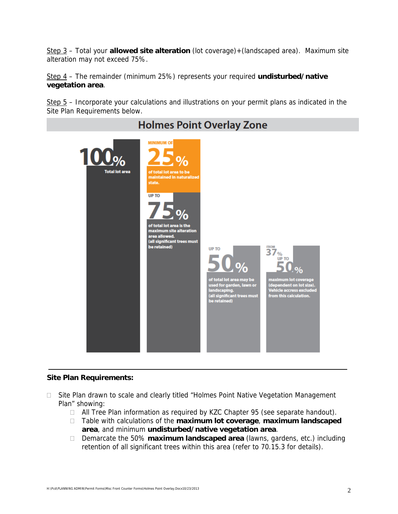Step 3 – Total your **allowed site alteration** (lot coverage)+(landscaped area). Maximum site alteration may not exceed 75%.

Step 4 – The remainder (minimum 25%) represents your required **undisturbed/native vegetation area**.

 $Step 5 -$  Incorporate your calculations and illustrations on your permit plans as indicated in the Site Plan Requirements below.



## **Holmes Point Overlay Zone**

## **Site Plan Requirements:**

- □ Site Plan drawn to scale and clearly titled "Holmes Point Native Vegetation Management Plan" showing:
	- $\Box$  All Tree Plan information as required by KZC Chapter 95 (see separate handout).
	- Table with calculations of the **maximum lot coverage**, **maximum landscaped area**, and minimum **undisturbed/native vegetation area**.
	- Demarcate the 50% **maximum landscaped area** (lawns, gardens, etc.) including retention of all significant trees within this area (refer to 70.15.3 for details).